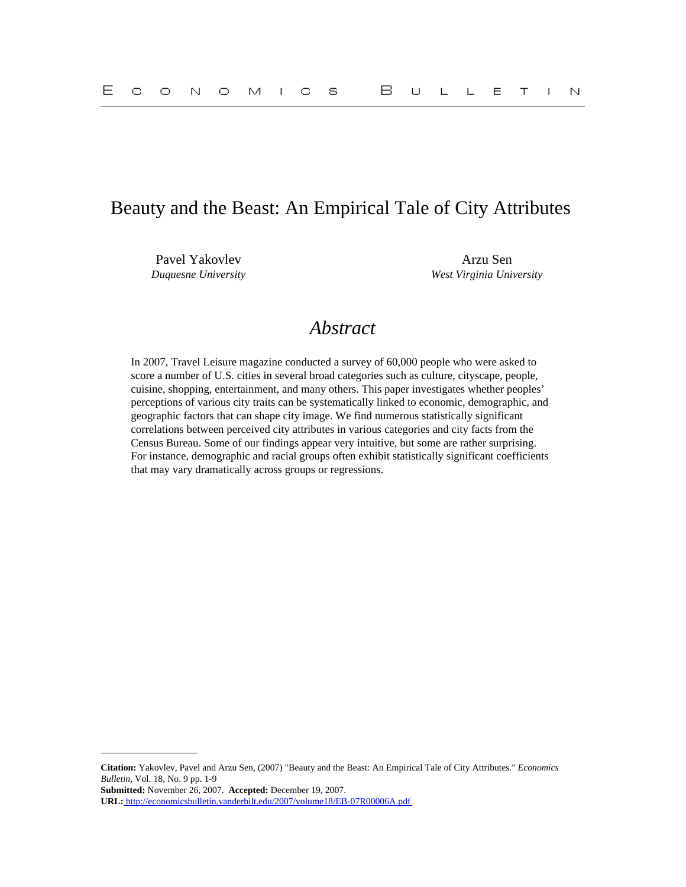## Beauty and the Beast: An Empirical Tale of City Attributes

Pavel Yakovlev Arzu Sen

*Duquesne University West Virginia University*

# *Abstract*

In 2007, Travel Leisure magazine conducted a survey of 60,000 people who were asked to score a number of U.S. cities in several broad categories such as culture, cityscape, people, cuisine, shopping, entertainment, and many others. This paper investigates whether peoples' perceptions of various city traits can be systematically linked to economic, demographic, and geographic factors that can shape city image. We find numerous statistically significant correlations between perceived city attributes in various categories and city facts from the Census Bureau. Some of our findings appear very intuitive, but some are rather surprising. For instance, demographic and racial groups often exhibit statistically significant coefficients that may vary dramatically across groups or regressions.

**Citation:** Yakovlev, Pavel and Arzu Sen, (2007) "Beauty and the Beast: An Empirical Tale of City Attributes." *Economics Bulletin,* Vol. 18, No. 9 pp. 1-9

**Submitted:** November 26, 2007. **Accepted:** December 19, 2007.

**URL:**<http://economicsbulletin.vanderbilt.edu/2007/volume18/EB-07R00006A.pdf>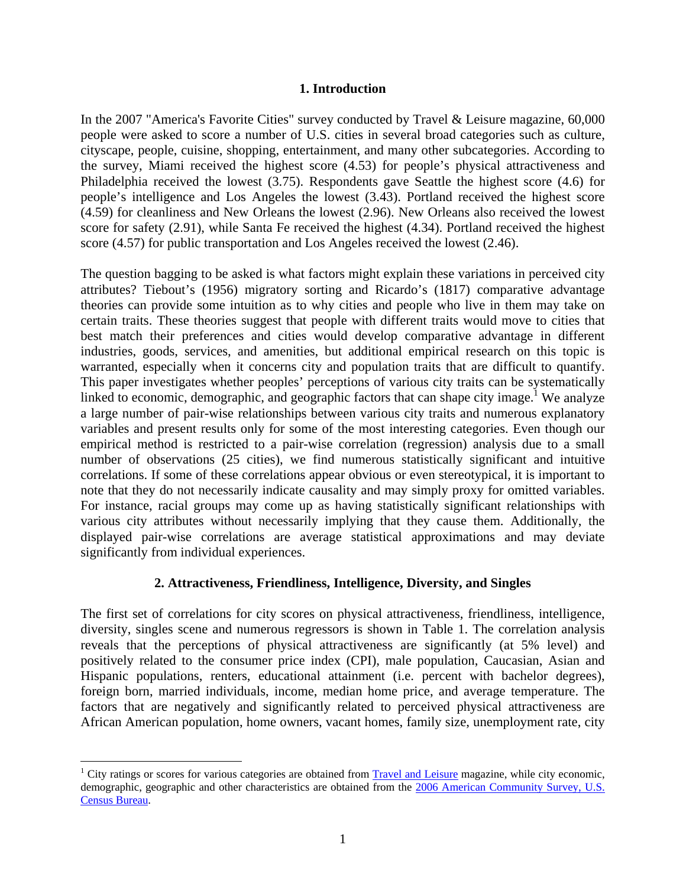#### **1. Introduction**

In the 2007 "America's Favorite Cities" survey conducted by Travel & Leisure magazine, 60,000 people were asked to score a number of U.S. cities in several broad categories such as culture, cityscape, people, cuisine, shopping, entertainment, and many other subcategories. According to the survey, Miami received the highest score (4.53) for people's physical attractiveness and Philadelphia received the lowest (3.75). Respondents gave Seattle the highest score (4.6) for people's intelligence and Los Angeles the lowest (3.43). Portland received the highest score (4.59) for cleanliness and New Orleans the lowest (2.96). New Orleans also received the lowest score for safety (2.91), while Santa Fe received the highest (4.34). Portland received the highest score (4.57) for public transportation and Los Angeles received the lowest (2.46).

The question bagging to be asked is what factors might explain these variations in perceived city attributes? Tiebout's (1956) migratory sorting and Ricardo's (1817) comparative advantage theories can provide some intuition as to why cities and people who live in them may take on certain traits. These theories suggest that people with different traits would move to cities that best match their preferences and cities would develop comparative advantage in different industries, goods, services, and amenities, but additional empirical research on this topic is warranted, especially when it concerns city and population traits that are difficult to quantify. This paper investigates whether peoples' perceptions of various city traits can be systematically linked to economic, demographic, and geographic factors that can shape city image.<sup>1</sup> We analyze a large number of pair-wise relationships between various city traits and numerous explanatory variables and present results only for some of the most interesting categories. Even though our empirical method is restricted to a pair-wise correlation (regression) analysis due to a small number of observations (25 cities), we find numerous statistically significant and intuitive correlations. If some of these correlations appear obvious or even stereotypical, it is important to note that they do not necessarily indicate causality and may simply proxy for omitted variables. For instance, racial groups may come up as having statistically significant relationships with various city attributes without necessarily implying that they cause them. Additionally, the displayed pair-wise correlations are average statistical approximations and may deviate significantly from individual experiences.

#### **2. Attractiveness, Friendliness, Intelligence, Diversity, and Singles**

The first set of correlations for city scores on physical attractiveness, friendliness, intelligence, diversity, singles scene and numerous regressors is shown in Table 1. The correlation analysis reveals that the perceptions of physical attractiveness are significantly (at 5% level) and positively related to the consumer price index (CPI), male population, Caucasian, Asian and Hispanic populations, renters, educational attainment (i.e. percent with bachelor degrees), foreign born, married individuals, income, median home price, and average temperature. The factors that are negatively and significantly related to perceived physical attractiveness are African American population, home owners, vacant homes, family size, unemployment rate, city

1

<sup>&</sup>lt;sup>1</sup> City ratings or scores for various categories are obtained from **Travel and Leisure** magazine, while city economic, demographic, geographic and other characteristics are obtained from the 2006 American Community Survey, U.S. Census Bureau.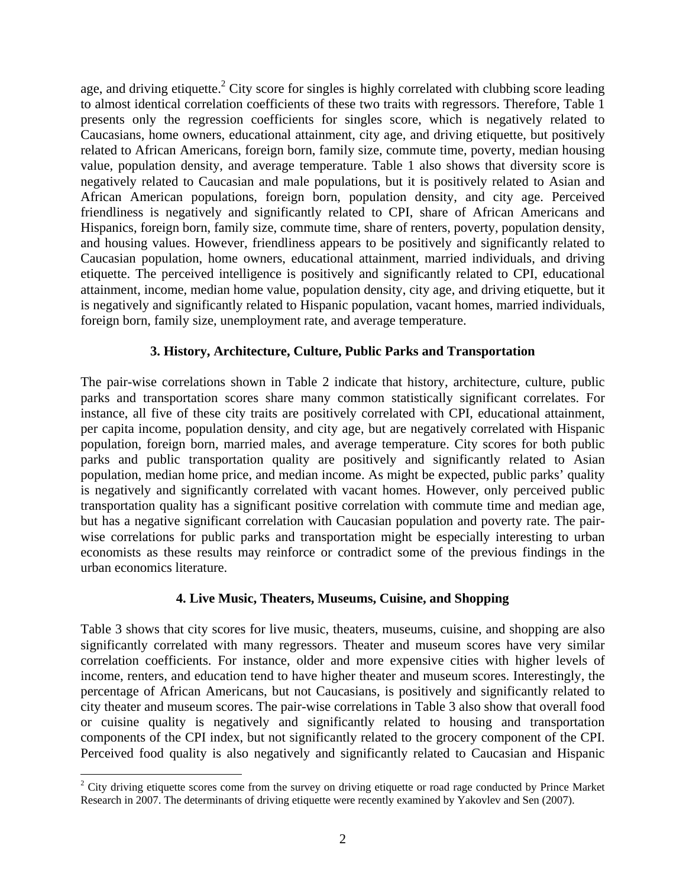age, and driving etiquette.<sup>2</sup> City score for singles is highly correlated with clubbing score leading to almost identical correlation coefficients of these two traits with regressors. Therefore, Table 1 presents only the regression coefficients for singles score, which is negatively related to Caucasians, home owners, educational attainment, city age, and driving etiquette, but positively related to African Americans, foreign born, family size, commute time, poverty, median housing value, population density, and average temperature. Table 1 also shows that diversity score is negatively related to Caucasian and male populations, but it is positively related to Asian and African American populations, foreign born, population density, and city age. Perceived friendliness is negatively and significantly related to CPI, share of African Americans and Hispanics, foreign born, family size, commute time, share of renters, poverty, population density, and housing values. However, friendliness appears to be positively and significantly related to Caucasian population, home owners, educational attainment, married individuals, and driving etiquette. The perceived intelligence is positively and significantly related to CPI, educational attainment, income, median home value, population density, city age, and driving etiquette, but it is negatively and significantly related to Hispanic population, vacant homes, married individuals, foreign born, family size, unemployment rate, and average temperature.

### **3. History, Architecture, Culture, Public Parks and Transportation**

The pair-wise correlations shown in Table 2 indicate that history, architecture, culture, public parks and transportation scores share many common statistically significant correlates. For instance, all five of these city traits are positively correlated with CPI, educational attainment, per capita income, population density, and city age, but are negatively correlated with Hispanic population, foreign born, married males, and average temperature. City scores for both public parks and public transportation quality are positively and significantly related to Asian population, median home price, and median income. As might be expected, public parks' quality is negatively and significantly correlated with vacant homes. However, only perceived public transportation quality has a significant positive correlation with commute time and median age, but has a negative significant correlation with Caucasian population and poverty rate. The pairwise correlations for public parks and transportation might be especially interesting to urban economists as these results may reinforce or contradict some of the previous findings in the urban economics literature.

#### **4. Live Music, Theaters, Museums, Cuisine, and Shopping**

Table 3 shows that city scores for live music, theaters, museums, cuisine, and shopping are also significantly correlated with many regressors. Theater and museum scores have very similar correlation coefficients. For instance, older and more expensive cities with higher levels of income, renters, and education tend to have higher theater and museum scores. Interestingly, the percentage of African Americans, but not Caucasians, is positively and significantly related to city theater and museum scores. The pair-wise correlations in Table 3 also show that overall food or cuisine quality is negatively and significantly related to housing and transportation components of the CPI index, but not significantly related to the grocery component of the CPI. Perceived food quality is also negatively and significantly related to Caucasian and Hispanic

<sup>&</sup>lt;sup>2</sup> City driving etiquette scores come from the survey on driving etiquette or road rage conducted by Prince Market Research in 2007. The determinants of driving etiquette were recently examined by Yakovlev and Sen (2007).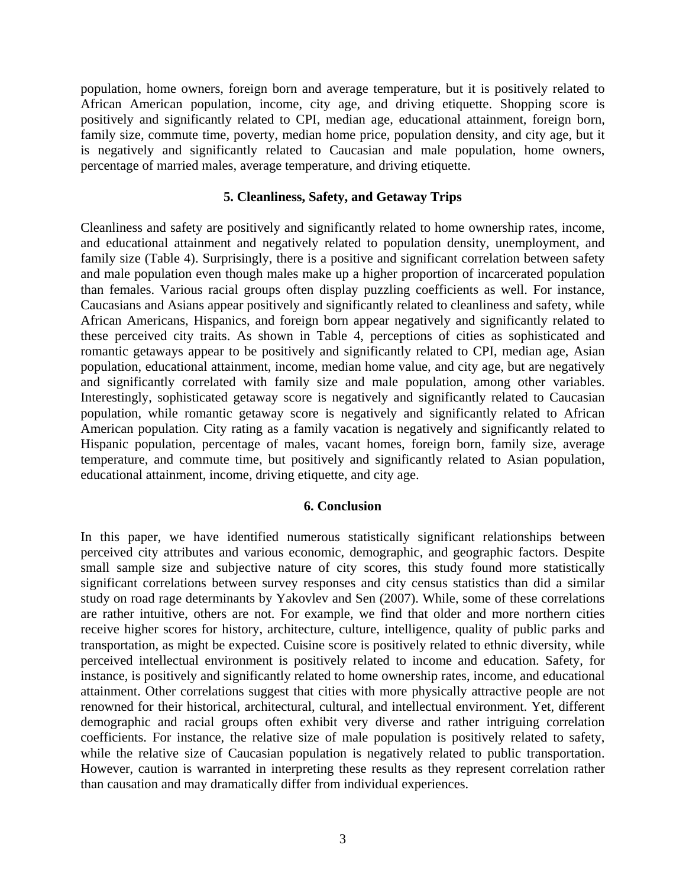population, home owners, foreign born and average temperature, but it is positively related to African American population, income, city age, and driving etiquette. Shopping score is positively and significantly related to CPI, median age, educational attainment, foreign born, family size, commute time, poverty, median home price, population density, and city age, but it is negatively and significantly related to Caucasian and male population, home owners, percentage of married males, average temperature, and driving etiquette.

#### **5. Cleanliness, Safety, and Getaway Trips**

Cleanliness and safety are positively and significantly related to home ownership rates, income, and educational attainment and negatively related to population density, unemployment, and family size (Table 4). Surprisingly, there is a positive and significant correlation between safety and male population even though males make up a higher proportion of incarcerated population than females. Various racial groups often display puzzling coefficients as well. For instance, Caucasians and Asians appear positively and significantly related to cleanliness and safety, while African Americans, Hispanics, and foreign born appear negatively and significantly related to these perceived city traits. As shown in Table 4, perceptions of cities as sophisticated and romantic getaways appear to be positively and significantly related to CPI, median age, Asian population, educational attainment, income, median home value, and city age, but are negatively and significantly correlated with family size and male population, among other variables. Interestingly, sophisticated getaway score is negatively and significantly related to Caucasian population, while romantic getaway score is negatively and significantly related to African American population. City rating as a family vacation is negatively and significantly related to Hispanic population, percentage of males, vacant homes, foreign born, family size, average temperature, and commute time, but positively and significantly related to Asian population, educational attainment, income, driving etiquette, and city age.

#### **6. Conclusion**

In this paper, we have identified numerous statistically significant relationships between perceived city attributes and various economic, demographic, and geographic factors. Despite small sample size and subjective nature of city scores, this study found more statistically significant correlations between survey responses and city census statistics than did a similar study on road rage determinants by Yakovlev and Sen (2007). While, some of these correlations are rather intuitive, others are not. For example, we find that older and more northern cities receive higher scores for history, architecture, culture, intelligence, quality of public parks and transportation, as might be expected. Cuisine score is positively related to ethnic diversity, while perceived intellectual environment is positively related to income and education. Safety, for instance, is positively and significantly related to home ownership rates, income, and educational attainment. Other correlations suggest that cities with more physically attractive people are not renowned for their historical, architectural, cultural, and intellectual environment. Yet, different demographic and racial groups often exhibit very diverse and rather intriguing correlation coefficients. For instance, the relative size of male population is positively related to safety, while the relative size of Caucasian population is negatively related to public transportation. However, caution is warranted in interpreting these results as they represent correlation rather than causation and may dramatically differ from individual experiences.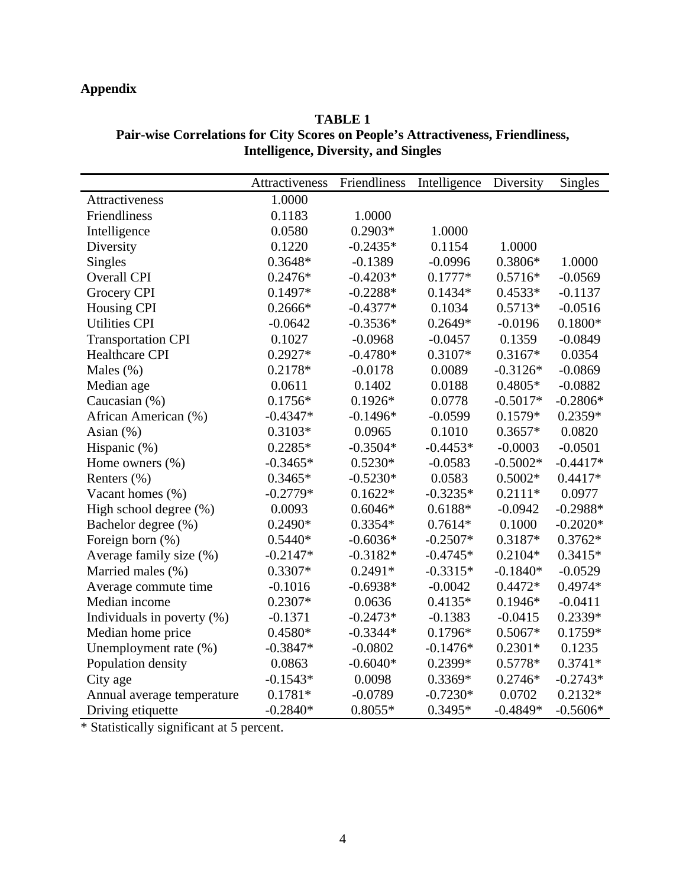## **Appendix**

## **TABLE 1 Pair-wise Correlations for City Scores on People's Attractiveness, Friendliness, Intelligence, Diversity, and Singles**

|                            | Attractiveness | Friendliness | Intelligence | Diversity  | <b>Singles</b> |
|----------------------------|----------------|--------------|--------------|------------|----------------|
| Attractiveness             | 1.0000         |              |              |            |                |
| Friendliness               | 0.1183         | 1.0000       |              |            |                |
| Intelligence               | 0.0580         | $0.2903*$    | 1.0000       |            |                |
| Diversity                  | 0.1220         | $-0.2435*$   | 0.1154       | 1.0000     |                |
| <b>Singles</b>             | $0.3648*$      | $-0.1389$    | $-0.0996$    | $0.3806*$  | 1.0000         |
| <b>Overall CPI</b>         | $0.2476*$      | $-0.4203*$   | $0.1777*$    | $0.5716*$  | $-0.0569$      |
| Grocery CPI                | 0.1497*        | $-0.2288*$   | $0.1434*$    | $0.4533*$  | $-0.1137$      |
| Housing CPI                | $0.2666*$      | $-0.4377*$   | 0.1034       | $0.5713*$  | $-0.0516$      |
| <b>Utilities CPI</b>       | $-0.0642$      | $-0.3536*$   | $0.2649*$    | $-0.0196$  | $0.1800*$      |
| <b>Transportation CPI</b>  | 0.1027         | $-0.0968$    | $-0.0457$    | 0.1359     | $-0.0849$      |
| <b>Healthcare CPI</b>      | $0.2927*$      | $-0.4780*$   | 0.3107*      | $0.3167*$  | 0.0354         |
| Males $(\%)$               | 0.2178*        | $-0.0178$    | 0.0089       | $-0.3126*$ | $-0.0869$      |
| Median age                 | 0.0611         | 0.1402       | 0.0188       | $0.4805*$  | $-0.0882$      |
| Caucasian (%)              | $0.1756*$      | $0.1926*$    | 0.0778       | $-0.5017*$ | $-0.2806*$     |
| African American (%)       | $-0.4347*$     | $-0.1496*$   | $-0.0599$    | $0.1579*$  | $0.2359*$      |
| Asian (%)                  | $0.3103*$      | 0.0965       | 0.1010       | $0.3657*$  | 0.0820         |
| Hispanic (%)               | $0.2285*$      | $-0.3504*$   | $-0.4453*$   | $-0.0003$  | $-0.0501$      |
| Home owners $(\% )$        | $-0.3465*$     | $0.5230*$    | $-0.0583$    | $-0.5002*$ | $-0.4417*$     |
| Renters (%)                | $0.3465*$      | $-0.5230*$   | 0.0583       | $0.5002*$  | $0.4417*$      |
| Vacant homes (%)           | $-0.2779*$     | $0.1622*$    | $-0.3235*$   | $0.2111*$  | 0.0977         |
| High school degree (%)     | 0.0093         | $0.6046*$    | $0.6188*$    | $-0.0942$  | $-0.2988*$     |
| Bachelor degree (%)        | $0.2490*$      | $0.3354*$    | $0.7614*$    | 0.1000     | $-0.2020*$     |
| Foreign born (%)           | $0.5440*$      | $-0.6036*$   | $-0.2507*$   | 0.3187*    | $0.3762*$      |
| Average family size (%)    | $-0.2147*$     | $-0.3182*$   | $-0.4745*$   | $0.2104*$  | $0.3415*$      |
| Married males (%)          | $0.3307*$      | $0.2491*$    | $-0.3315*$   | $-0.1840*$ | $-0.0529$      |
| Average commute time       | $-0.1016$      | $-0.6938*$   | $-0.0042$    | $0.4472*$  | $0.4974*$      |
| Median income              | $0.2307*$      | 0.0636       | $0.4135*$    | $0.1946*$  | $-0.0411$      |
| Individuals in poverty (%) | $-0.1371$      | $-0.2473*$   | $-0.1383$    | $-0.0415$  | 0.2339*        |
| Median home price          | $0.4580*$      | $-0.3344*$   | $0.1796*$    | $0.5067*$  | $0.1759*$      |
| Unemployment rate (%)      | $-0.3847*$     | $-0.0802$    | $-0.1476*$   | $0.2301*$  | 0.1235         |
| Population density         | 0.0863         | $-0.6040*$   | 0.2399*      | $0.5778*$  | $0.3741*$      |
| City age                   | $-0.1543*$     | 0.0098       | $0.3369*$    | $0.2746*$  | $-0.2743*$     |
| Annual average temperature | $0.1781*$      | $-0.0789$    | $-0.7230*$   | 0.0702     | $0.2132*$      |
| Driving etiquette          | $-0.2840*$     | $0.8055*$    | $0.3495*$    | $-0.4849*$ | $-0.5606*$     |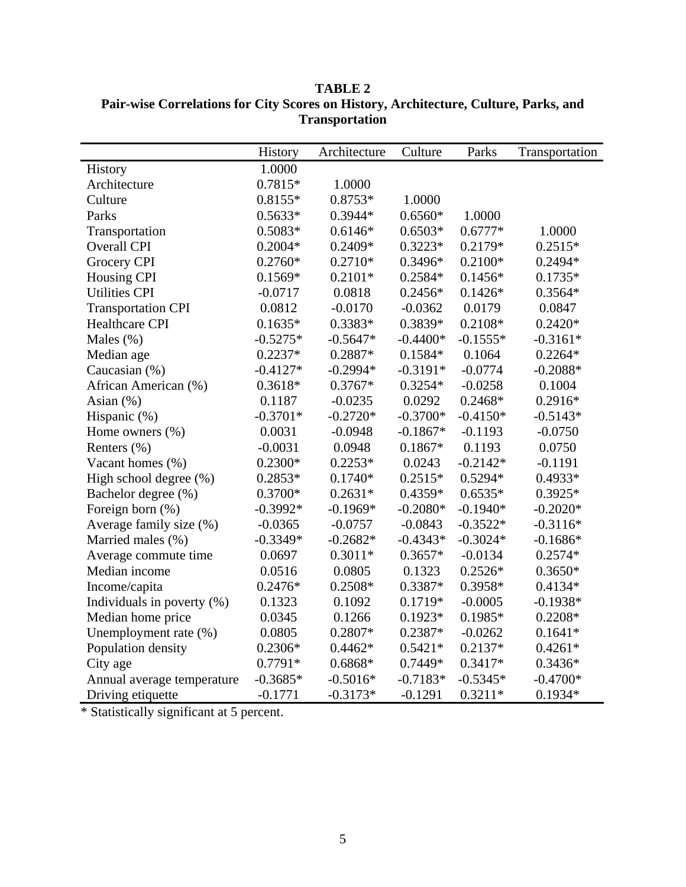|                               | History    | Architecture | Culture    | Parks      | Transportation |
|-------------------------------|------------|--------------|------------|------------|----------------|
| History                       | 1.0000     |              |            |            |                |
| Architecture                  | 0.7815*    | 1.0000       |            |            |                |
| Culture                       | $0.8155*$  | $0.8753*$    | 1.0000     |            |                |
| Parks                         | $0.5633*$  | 0.3944*      | $0.6560*$  | 1.0000     |                |
| Transportation                | $0.5083*$  | $0.6146*$    | $0.6503*$  | $0.6777*$  | 1.0000         |
| <b>Overall CPI</b>            | $0.2004*$  | 0.2409*      | $0.3223*$  | 0.2179*    | $0.2515*$      |
| Grocery CPI                   | $0.2760*$  | $0.2710*$    | 0.3496*    | $0.2100*$  | $0.2494*$      |
| <b>Housing CPI</b>            | $0.1569*$  | $0.2101*$    | $0.2584*$  | $0.1456*$  | $0.1735*$      |
| <b>Utilities CPI</b>          | $-0.0717$  | 0.0818       | $0.2456*$  | $0.1426*$  | $0.3564*$      |
| <b>Transportation CPI</b>     | 0.0812     | $-0.0170$    | $-0.0362$  | 0.0179     | 0.0847         |
| <b>Healthcare CPI</b>         | $0.1635*$  | 0.3383*      | 0.3839*    | 0.2108*    | $0.2420*$      |
| Males $(\%)$                  | $-0.5275*$ | $-0.5647*$   | $-0.4400*$ | $-0.1555*$ | $-0.3161*$     |
| Median age                    | $0.2237*$  | 0.2887*      | $0.1584*$  | 0.1064     | $0.2264*$      |
| Caucasian (%)                 | $-0.4127*$ | $-0.2994*$   | $-0.3191*$ | $-0.0774$  | $-0.2088*$     |
| African American (%)          | 0.3618*    | $0.3767*$    | $0.3254*$  | $-0.0258$  | 0.1004         |
| Asian $(\%)$                  | 0.1187     | $-0.0235$    | 0.0292     | $0.2468*$  | $0.2916*$      |
| Hispanic (%)                  | $-0.3701*$ | $-0.2720*$   | $-0.3700*$ | $-0.4150*$ | $-0.5143*$     |
| Home owners $(\% )$           | 0.0031     | $-0.0948$    | $-0.1867*$ | $-0.1193$  | $-0.0750$      |
| Renters (%)                   | $-0.0031$  | 0.0948       | $0.1867*$  | 0.1193     | 0.0750         |
| Vacant homes (%)              | $0.2300*$  | $0.2253*$    | 0.0243     | $-0.2142*$ | $-0.1191$      |
| High school degree (%)        | $0.2853*$  | $0.1740*$    | $0.2515*$  | $0.5294*$  | $0.4933*$      |
| Bachelor degree (%)           | 0.3700*    | $0.2631*$    | $0.4359*$  | $0.6535*$  | $0.3925*$      |
| Foreign born (%)              | $-0.3992*$ | $-0.1969*$   | $-0.2080*$ | $-0.1940*$ | $-0.2020*$     |
| Average family size (%)       | $-0.0365$  | $-0.0757$    | $-0.0843$  | $-0.3522*$ | $-0.3116*$     |
| Married males (%)             | $-0.3349*$ | $-0.2682*$   | $-0.4343*$ | $-0.3024*$ | $-0.1686*$     |
| Average commute time          | 0.0697     | $0.3011*$    | $0.3657*$  | $-0.0134$  | $0.2574*$      |
| Median income                 | 0.0516     | 0.0805       | 0.1323     | $0.2526*$  | $0.3650*$      |
| Income/capita                 | $0.2476*$  | $0.2508*$    | $0.3387*$  | 0.3958*    | $0.4134*$      |
| Individuals in poverty $(\%)$ | 0.1323     | 0.1092       | $0.1719*$  | $-0.0005$  | $-0.1938*$     |
| Median home price             | 0.0345     | 0.1266       | $0.1923*$  | 0.1985*    | $0.2208*$      |
| Unemployment rate (%)         | 0.0805     | 0.2807*      | 0.2387*    | $-0.0262$  | $0.1641*$      |
| Population density            | 0.2306*    | $0.4462*$    | $0.5421*$  | $0.2137*$  | $0.4261*$      |
| City age                      | $0.7791*$  | $0.6868*$    | 0.7449*    | 0.3417*    | $0.3436*$      |
| Annual average temperature    | $-0.3685*$ | $-0.5016*$   | $-0.7183*$ | $-0.5345*$ | $-0.4700*$     |
| Driving etiquette             | $-0.1771$  | $-0.3173*$   | $-0.1291$  | $0.3211*$  | $0.1934*$      |

**TABLE 2 Pair-wise Correlations for City Scores on History, Architecture, Culture, Parks, and Transportation**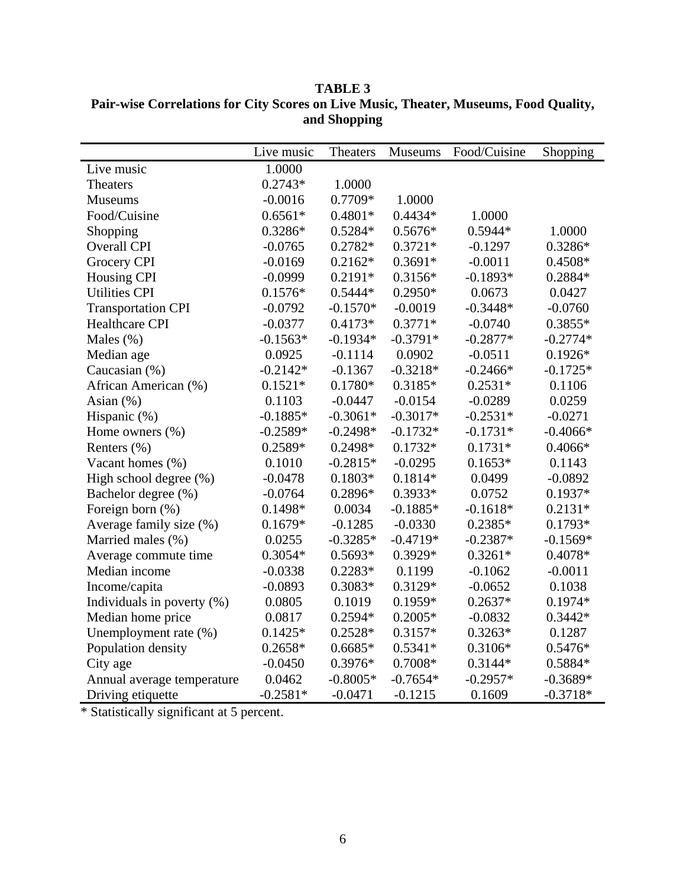|                               | Live music | Theaters   | Museums    | Food/Cuisine | Shopping   |
|-------------------------------|------------|------------|------------|--------------|------------|
| Live music                    | 1.0000     |            |            |              |            |
| <b>Theaters</b>               | $0.2743*$  | 1.0000     |            |              |            |
| <b>Museums</b>                | $-0.0016$  | 0.7709*    | 1.0000     |              |            |
| Food/Cuisine                  | $0.6561*$  | $0.4801*$  | $0.4434*$  | 1.0000       |            |
| Shopping                      | 0.3286*    | $0.5284*$  | $0.5676*$  | $0.5944*$    | 1.0000     |
| <b>Overall CPI</b>            | $-0.0765$  | $0.2782*$  | $0.3721*$  | $-0.1297$    | $0.3286*$  |
| Grocery CPI                   | $-0.0169$  | $0.2162*$  | $0.3691*$  | $-0.0011$    | $0.4508*$  |
| <b>Housing CPI</b>            | $-0.0999$  | $0.2191*$  | $0.3156*$  | $-0.1893*$   | 0.2884*    |
| <b>Utilities CPI</b>          | $0.1576*$  | $0.5444*$  | $0.2950*$  | 0.0673       | 0.0427     |
| <b>Transportation CPI</b>     | $-0.0792$  | $-0.1570*$ | $-0.0019$  | $-0.3448*$   | $-0.0760$  |
| Healthcare CPI                | $-0.0377$  | $0.4173*$  | $0.3771*$  | $-0.0740$    | $0.3855*$  |
| Males $(\%)$                  | $-0.1563*$ | $-0.1934*$ | $-0.3791*$ | $-0.2877*$   | $-0.2774*$ |
| Median age                    | 0.0925     | $-0.1114$  | 0.0902     | $-0.0511$    | $0.1926*$  |
| Caucasian (%)                 | $-0.2142*$ | $-0.1367$  | $-0.3218*$ | $-0.2466*$   | $-0.1725*$ |
| African American (%)          | $0.1521*$  | $0.1780*$  | $0.3185*$  | $0.2531*$    | 0.1106     |
| Asian $(\%)$                  | 0.1103     | $-0.0447$  | $-0.0154$  | $-0.0289$    | 0.0259     |
| Hispanic (%)                  | $-0.1885*$ | $-0.3061*$ | $-0.3017*$ | $-0.2531*$   | $-0.0271$  |
| Home owners $(\% )$           | $-0.2589*$ | $-0.2498*$ | $-0.1732*$ | $-0.1731*$   | $-0.4066*$ |
| Renters $(\% )$               | 0.2589*    | 0.2498*    | $0.1732*$  | $0.1731*$    | $0.4066*$  |
| Vacant homes (%)              | 0.1010     | $-0.2815*$ | $-0.0295$  | $0.1653*$    | 0.1143     |
| High school degree (%)        | $-0.0478$  | $0.1803*$  | $0.1814*$  | 0.0499       | $-0.0892$  |
| Bachelor degree (%)           | $-0.0764$  | 0.2896*    | $0.3933*$  | 0.0752       | $0.1937*$  |
| Foreign born (%)              | 0.1498*    | 0.0034     | $-0.1885*$ | $-0.1618*$   | $0.2131*$  |
| Average family size (%)       | $0.1679*$  | $-0.1285$  | $-0.0330$  | $0.2385*$    | $0.1793*$  |
| Married males (%)             | 0.0255     | $-0.3285*$ | $-0.4719*$ | $-0.2387*$   | $-0.1569*$ |
| Average commute time          | $0.3054*$  | $0.5693*$  | 0.3929*    | $0.3261*$    | 0.4078*    |
| Median income                 | $-0.0338$  | $0.2283*$  | 0.1199     | $-0.1062$    | $-0.0011$  |
| Income/capita                 | $-0.0893$  | $0.3083*$  | 0.3129*    | $-0.0652$    | 0.1038     |
| Individuals in poverty $(\%)$ | 0.0805     | 0.1019     | $0.1959*$  | $0.2637*$    | $0.1974*$  |
| Median home price             | 0.0817     | 0.2594*    | $0.2005*$  | $-0.0832$    | $0.3442*$  |
| Unemployment rate (%)         | $0.1425*$  | $0.2528*$  | $0.3157*$  | $0.3263*$    | 0.1287     |
| Population density            | $0.2658*$  | $0.6685*$  | $0.5341*$  | $0.3106*$    | $0.5476*$  |
| City age                      | $-0.0450$  | $0.3976*$  | $0.7008*$  | $0.3144*$    | 0.5884*    |
| Annual average temperature    | 0.0462     | $-0.8005*$ | $-0.7654*$ | $-0.2957*$   | $-0.3689*$ |
| Driving etiquette             | $-0.2581*$ | $-0.0471$  | $-0.1215$  | 0.1609       | $-0.3718*$ |

**TABLE 3 Pair-wise Correlations for City Scores on Live Music, Theater, Museums, Food Quality, and Shopping**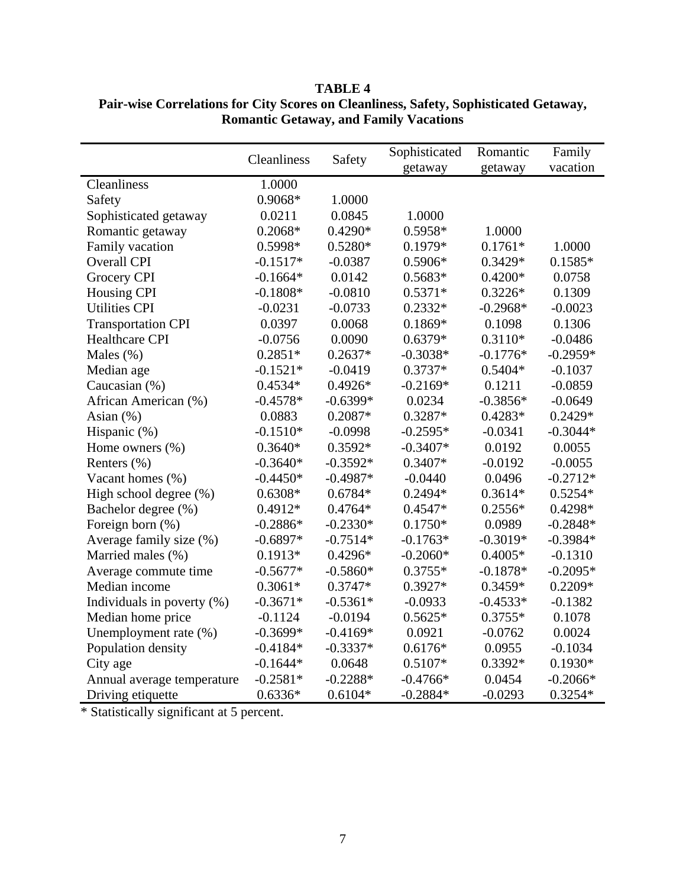|                            | Cleanliness | Safety     | Sophisticated | Romantic   | Family     |
|----------------------------|-------------|------------|---------------|------------|------------|
|                            |             |            | getaway       | getaway    | vacation   |
| Cleanliness                | 1.0000      |            |               |            |            |
| Safety                     | 0.9068*     | 1.0000     |               |            |            |
| Sophisticated getaway      | 0.0211      | 0.0845     | 1.0000        |            |            |
| Romantic getaway           | $0.2068*$   | $0.4290*$  | $0.5958*$     | 1.0000     |            |
| Family vacation            | 0.5998*     | $0.5280*$  | $0.1979*$     | $0.1761*$  | 1.0000     |
| <b>Overall CPI</b>         | $-0.1517*$  | $-0.0387$  | 0.5906*       | 0.3429*    | $0.1585*$  |
| Grocery CPI                | $-0.1664*$  | 0.0142     | $0.5683*$     | $0.4200*$  | 0.0758     |
| <b>Housing CPI</b>         | $-0.1808*$  | $-0.0810$  | $0.5371*$     | $0.3226*$  | 0.1309     |
| <b>Utilities CPI</b>       | $-0.0231$   | $-0.0733$  | $0.2332*$     | $-0.2968*$ | $-0.0023$  |
| <b>Transportation CPI</b>  | 0.0397      | 0.0068     | $0.1869*$     | 0.1098     | 0.1306     |
| <b>Healthcare CPI</b>      | $-0.0756$   | 0.0090     | $0.6379*$     | $0.3110*$  | $-0.0486$  |
| Males $(\%)$               | $0.2851*$   | $0.2637*$  | $-0.3038*$    | $-0.1776*$ | $-0.2959*$ |
| Median age                 | $-0.1521*$  | $-0.0419$  | $0.3737*$     | $0.5404*$  | $-0.1037$  |
| Caucasian (%)              | $0.4534*$   | $0.4926*$  | $-0.2169*$    | 0.1211     | $-0.0859$  |
| African American (%)       | $-0.4578*$  | $-0.6399*$ | 0.0234        | $-0.3856*$ | $-0.0649$  |
| Asian $(\%)$               | 0.0883      | $0.2087*$  | $0.3287*$     | $0.4283*$  | $0.2429*$  |
| Hispanic (%)               | $-0.1510*$  | $-0.0998$  | $-0.2595*$    | $-0.0341$  | $-0.3044*$ |
| Home owners $(\% )$        | $0.3640*$   | $0.3592*$  | $-0.3407*$    | 0.0192     | 0.0055     |
| Renters $(\% )$            | $-0.3640*$  | $-0.3592*$ | $0.3407*$     | $-0.0192$  | $-0.0055$  |
| Vacant homes (%)           | $-0.4450*$  | $-0.4987*$ | $-0.0440$     | 0.0496     | $-0.2712*$ |
| High school degree (%)     | $0.6308*$   | $0.6784*$  | $0.2494*$     | $0.3614*$  | $0.5254*$  |
| Bachelor degree (%)        | $0.4912*$   | $0.4764*$  | $0.4547*$     | $0.2556*$  | $0.4298*$  |
| Foreign born (%)           | $-0.2886*$  | $-0.2330*$ | $0.1750*$     | 0.0989     | $-0.2848*$ |
| Average family size (%)    | $-0.6897*$  | $-0.7514*$ | $-0.1763*$    | $-0.3019*$ | $-0.3984*$ |
| Married males (%)          | $0.1913*$   | $0.4296*$  | $-0.2060*$    | $0.4005*$  | $-0.1310$  |
| Average commute time       | $-0.5677*$  | $-0.5860*$ | $0.3755*$     | $-0.1878*$ | $-0.2095*$ |
| Median income              | $0.3061*$   | $0.3747*$  | 0.3927*       | 0.3459*    | $0.2209*$  |
| Individuals in poverty (%) | $-0.3671*$  | $-0.5361*$ | $-0.0933$     | $-0.4533*$ | $-0.1382$  |
| Median home price          | $-0.1124$   | $-0.0194$  | $0.5625*$     | $0.3755*$  | 0.1078     |
| Unemployment rate (%)      | $-0.3699*$  | $-0.4169*$ | 0.0921        | $-0.0762$  | 0.0024     |
| Population density         | $-0.4184*$  | $-0.3337*$ | $0.6176*$     | 0.0955     | $-0.1034$  |
| City age                   | $-0.1644*$  | 0.0648     | $0.5107*$     | 0.3392*    | $0.1930*$  |
| Annual average temperature | $-0.2581*$  | $-0.2288*$ | $-0.4766*$    | 0.0454     | $-0.2066*$ |
| Driving etiquette          | $0.6336*$   | $0.6104*$  | $-0.2884*$    | $-0.0293$  | $0.3254*$  |

**TABLE 4 Pair-wise Correlations for City Scores on Cleanliness, Safety, Sophisticated Getaway, Romantic Getaway, and Family Vacations**